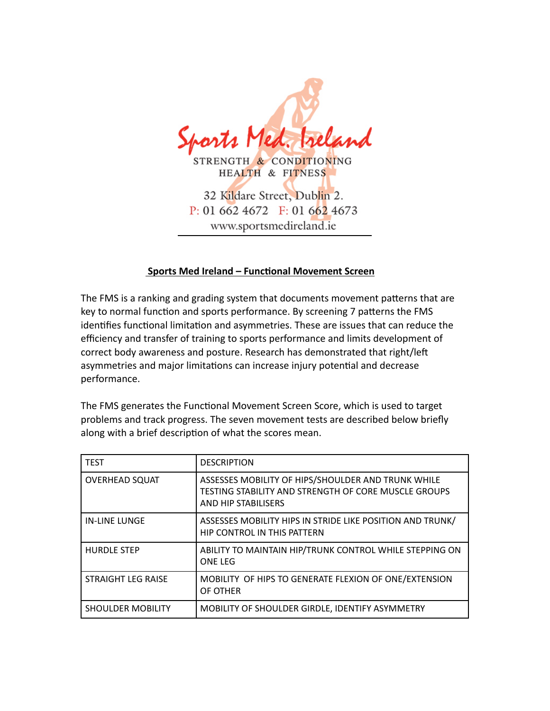

## **Sports Med Ireland – Functional Movement Screen**

The FMS is a ranking and grading system that documents movement patterns that are key to normal function and sports performance. By screening 7 patterns the FMS identifies functional limitation and asymmetries. These are issues that can reduce the efficiency and transfer of training to sports performance and limits development of correct body awareness and posture. Research has demonstrated that right/left asymmetries and major limitations can increase injury potential and decrease performance.

The FMS generates the Functional Movement Screen Score, which is used to target problems and track progress. The seven movement tests are described below briefly along with a brief description of what the scores mean.

| <b>TEST</b>               | <b>DESCRIPTION</b>                                                                                                                |
|---------------------------|-----------------------------------------------------------------------------------------------------------------------------------|
| <b>OVERHEAD SQUAT</b>     | ASSESSES MOBILITY OF HIPS/SHOULDER AND TRUNK WHILE<br>TESTING STABILITY AND STRENGTH OF CORE MUSCLE GROUPS<br>AND HIP STABILISERS |
| <b>IN-LINE LUNGE</b>      | ASSESSES MOBILITY HIPS IN STRIDE LIKE POSITION AND TRUNK/<br>HIP CONTROL IN THIS PATTERN                                          |
| <b>HURDLE STEP</b>        | ABILITY TO MAINTAIN HIP/TRUNK CONTROL WHILE STEPPING ON<br><b>ONE LEG</b>                                                         |
| <b>STRAIGHT LEG RAISE</b> | MOBILITY OF HIPS TO GENERATE FLEXION OF ONE/EXTENSION<br>OF OTHER                                                                 |
| <b>SHOULDER MOBILITY</b>  | MOBILITY OF SHOULDER GIRDLE, IDENTIFY ASYMMETRY                                                                                   |